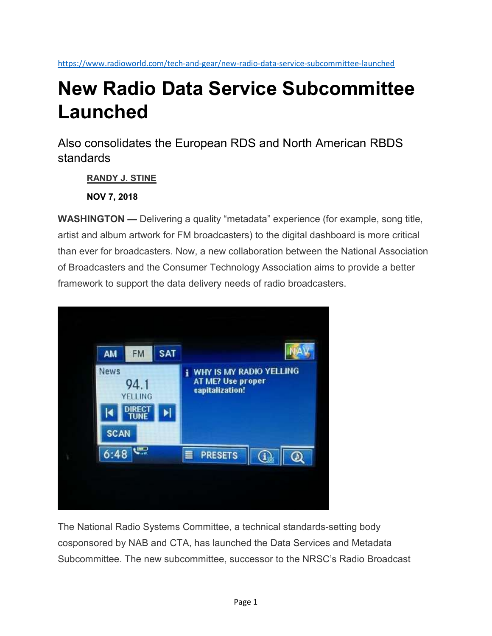https://www.radioworld.com/tech-and-gear/new-radio-data-service-subcommittee-launched

# New Radio Data Service Subcommittee Launched

Also consolidates the European RDS and North American RBDS standards

RANDY J. STINE

NOV 7, 2018

WASHINGTON — Delivering a quality "metadata" experience (for example, song title, artist and album artwork for FM broadcasters) to the digital dashboard is more critical than ever for broadcasters. Now, a new collaboration between the National Association of Broadcasters and the Consumer Technology Association aims to provide a better framework to support the data delivery needs of radio broadcasters.



The National Radio Systems Committee, a technical standards-setting body cosponsored by NAB and CTA, has launched the Data Services and Metadata Subcommittee. The new subcommittee, successor to the NRSC's Radio Broadcast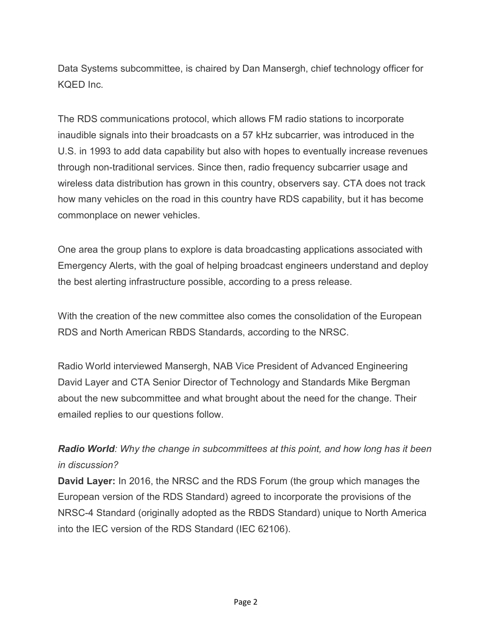Data Systems subcommittee, is chaired by Dan Mansergh, chief technology officer for KQED Inc.

The RDS communications protocol, which allows FM radio stations to incorporate inaudible signals into their broadcasts on a 57 kHz subcarrier, was introduced in the U.S. in 1993 to add data capability but also with hopes to eventually increase revenues through non-traditional services. Since then, radio frequency subcarrier usage and wireless data distribution has grown in this country, observers say. CTA does not track how many vehicles on the road in this country have RDS capability, but it has become commonplace on newer vehicles.

One area the group plans to explore is data broadcasting applications associated with Emergency Alerts, with the goal of helping broadcast engineers understand and deploy the best alerting infrastructure possible, according to a press release.

With the creation of the new committee also comes the consolidation of the European RDS and North American RBDS Standards, according to the NRSC.

Radio World interviewed Mansergh, NAB Vice President of Advanced Engineering David Layer and CTA Senior Director of Technology and Standards Mike Bergman about the new subcommittee and what brought about the need for the change. Their emailed replies to our questions follow.

Radio World: Why the change in subcommittees at this point, and how long has it been in discussion?

David Layer: In 2016, the NRSC and the RDS Forum (the group which manages the European version of the RDS Standard) agreed to incorporate the provisions of the NRSC-4 Standard (originally adopted as the RBDS Standard) unique to North America into the IEC version of the RDS Standard (IEC 62106).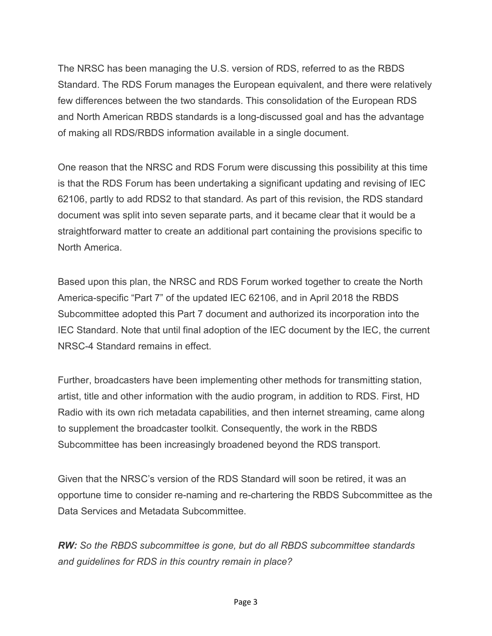The NRSC has been managing the U.S. version of RDS, referred to as the RBDS Standard. The RDS Forum manages the European equivalent, and there were relatively few differences between the two standards. This consolidation of the European RDS and North American RBDS standards is a long-discussed goal and has the advantage of making all RDS/RBDS information available in a single document.

One reason that the NRSC and RDS Forum were discussing this possibility at this time is that the RDS Forum has been undertaking a significant updating and revising of IEC 62106, partly to add RDS2 to that standard. As part of this revision, the RDS standard document was split into seven separate parts, and it became clear that it would be a straightforward matter to create an additional part containing the provisions specific to North America.

Based upon this plan, the NRSC and RDS Forum worked together to create the North America-specific "Part 7" of the updated IEC 62106, and in April 2018 the RBDS Subcommittee adopted this Part 7 document and authorized its incorporation into the IEC Standard. Note that until final adoption of the IEC document by the IEC, the current NRSC-4 Standard remains in effect.

Further, broadcasters have been implementing other methods for transmitting station, artist, title and other information with the audio program, in addition to RDS. First, HD Radio with its own rich metadata capabilities, and then internet streaming, came along to supplement the broadcaster toolkit. Consequently, the work in the RBDS Subcommittee has been increasingly broadened beyond the RDS transport.

Given that the NRSC's version of the RDS Standard will soon be retired, it was an opportune time to consider re-naming and re-chartering the RBDS Subcommittee as the Data Services and Metadata Subcommittee.

RW: So the RBDS subcommittee is gone, but do all RBDS subcommittee standards and guidelines for RDS in this country remain in place?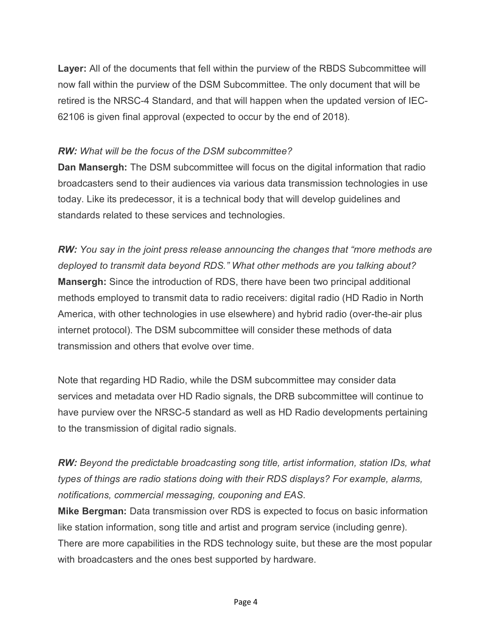Layer: All of the documents that fell within the purview of the RBDS Subcommittee will now fall within the purview of the DSM Subcommittee. The only document that will be retired is the NRSC-4 Standard, and that will happen when the updated version of IEC-62106 is given final approval (expected to occur by the end of 2018).

### RW: What will be the focus of the DSM subcommittee?

**Dan Mansergh:** The DSM subcommittee will focus on the digital information that radio broadcasters send to their audiences via various data transmission technologies in use today. Like its predecessor, it is a technical body that will develop guidelines and standards related to these services and technologies.

RW: You say in the joint press release announcing the changes that "more methods are deployed to transmit data beyond RDS." What other methods are you talking about? Mansergh: Since the introduction of RDS, there have been two principal additional methods employed to transmit data to radio receivers: digital radio (HD Radio in North America, with other technologies in use elsewhere) and hybrid radio (over-the-air plus internet protocol). The DSM subcommittee will consider these methods of data transmission and others that evolve over time.

Note that regarding HD Radio, while the DSM subcommittee may consider data services and metadata over HD Radio signals, the DRB subcommittee will continue to have purview over the NRSC-5 standard as well as HD Radio developments pertaining to the transmission of digital radio signals.

RW: Beyond the predictable broadcasting song title, artist information, station IDs, what types of things are radio stations doing with their RDS displays? For example, alarms, notifications, commercial messaging, couponing and EAS.

Mike Bergman: Data transmission over RDS is expected to focus on basic information like station information, song title and artist and program service (including genre). There are more capabilities in the RDS technology suite, but these are the most popular with broadcasters and the ones best supported by hardware.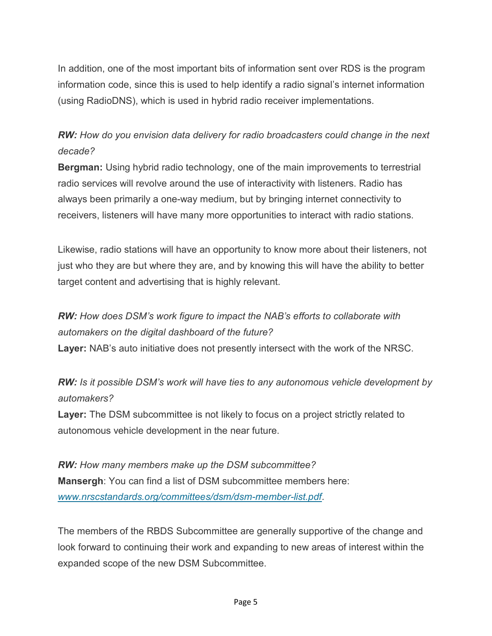In addition, one of the most important bits of information sent over RDS is the program information code, since this is used to help identify a radio signal's internet information (using RadioDNS), which is used in hybrid radio receiver implementations.

## RW: How do you envision data delivery for radio broadcasters could change in the next decade?

Bergman: Using hybrid radio technology, one of the main improvements to terrestrial radio services will revolve around the use of interactivity with listeners. Radio has always been primarily a one-way medium, but by bringing internet connectivity to receivers, listeners will have many more opportunities to interact with radio stations.

Likewise, radio stations will have an opportunity to know more about their listeners, not just who they are but where they are, and by knowing this will have the ability to better target content and advertising that is highly relevant.

# RW: How does DSM's work figure to impact the NAB's efforts to collaborate with automakers on the digital dashboard of the future?

Layer: NAB's auto initiative does not presently intersect with the work of the NRSC.

RW: Is it possible DSM's work will have ties to any autonomous vehicle development by automakers?

Layer: The DSM subcommittee is not likely to focus on a project strictly related to autonomous vehicle development in the near future.

RW: How many members make up the DSM subcommittee? Mansergh: You can find a list of DSM subcommittee members here: www.nrscstandards.org/committees/dsm/dsm-member-list.pdf.

The members of the RBDS Subcommittee are generally supportive of the change and look forward to continuing their work and expanding to new areas of interest within the expanded scope of the new DSM Subcommittee.